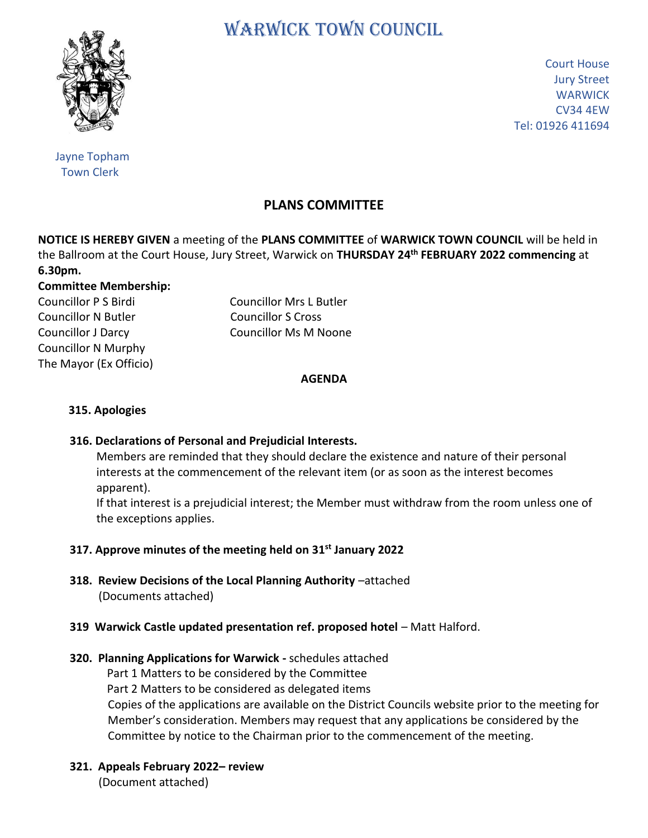# WARWICK TOWN COUNCIL



Court House Jury Street **WARWICK** CV34 4EW Tel: 01926 411694

 Jayne Topham Town Clerk

# **PLANS COMMITTEE**

**NOTICE IS HEREBY GIVEN** a meeting of the **PLANS COMMITTEE** of **WARWICK TOWN COUNCIL** will be held in the Ballroom at the Court House, Jury Street, Warwick on **THURSDAY 24th FEBRUARY 2022 commencing** at **6.30pm.**

#### **Committee Membership:**

Councillor N Butler Councillor S Cross Councillor N Murphy The Mayor (Ex Officio)

Councillor P S Birdi Councillor Mrs L Butler Councillor J Darcy Councillor Ms M Noone

#### **AGENDA**

#### **315. Apologies**

#### **316. Declarations of Personal and Prejudicial Interests.**

 Members are reminded that they should declare the existence and nature of their personal interests at the commencement of the relevant item (or as soon as the interest becomes apparent).

 If that interest is a prejudicial interest; the Member must withdraw from the room unless one of the exceptions applies.

## **317. Approve minutes of the meeting held on 31st January 2022**

 **318. Review Decisions of the Local Planning Authority** –attached (Documents attached)

#### **319 Warwick Castle updated presentation ref. proposed hotel** – Matt Halford.

## **320. Planning Applications for Warwick -** schedules attached

Part 1 Matters to be considered by the Committee

Part 2 Matters to be considered as delegated items

Copies of the applications are available on the District Councils website prior to the meeting for Member's consideration. Members may request that any applications be considered by the Committee by notice to the Chairman prior to the commencement of the meeting.

 **321. Appeals February 2022– review** (Document attached)